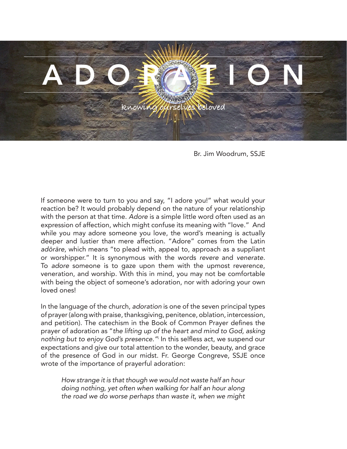

Br. Jim Woodrum, SSJE

If someone were to turn to you and say, "I adore you!" what would your reaction be? It would probably depend on the nature of your relationship with the person at that time. *Adore* is a simple little word often used as an expression of affection, which might confuse its meaning with "love." And while you may adore someone you love, the word's meaning is actually deeper and lustier than mere affection. "Adore" comes from the Latin adōrāre, which means "to plead with, appeal to, approach as a suppliant or worshipper." It is synonymous with the words *revere* and *venerate.* To *adore* someone is to gaze upon them with the upmost reverence, veneration, and worship. With this in mind, you may not be comfortable with being the object of someone's adoration, nor with adoring your own loved ones!

In the language of the church, *adoration* is one of the seven principal types of prayer (along with praise, thanksgiving, penitence, oblation, intercession, and petition). The catechism in the Book of Common Prayer defines the prayer of adoration as "the lifting up of the heart and mind to God, asking nothing but to enjoy God's presence." In this selfless act, we suspend our expectations and give our total attention to the wonder, beauty, and grace of the presence of God in our midst. Fr. George Congreve, SSJE once wrote of the importance of prayerful adoration:

How strange it is that though we would not waste half an hour doing nothing, yet often when walking for half an hour along the road we do worse perhaps than waste it, when we might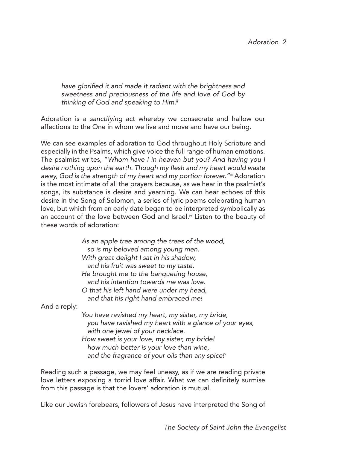have glorified *it and made it radiant* with the brightness and sweetness and preciousness of the life and love of God by thinking of God and speaking to Him.<sup>ii</sup>

Adoration is a sanctifying act whereby we consecrate and hallow our affections to the One in whom we live and move and have our being.

We can see examples of adoration to God throughout Holy Scripture and especially in the Psalms, which give voice the full range of human emotions. The psalmist writes, "*Whom have I in heaven but you? And having you I*  desire nothing upon the earth. Though my flesh and my heart would waste away, God is the strength of my heart and my portion forever. "iii Adoration is the most intimate of all the prayers because, as we hear in the psalmist's songs, its substance is desire and yearning. We can hear echoes of this desire in the Song of Solomon, a series of lyric poems celebrating human love, but which from an early date began to be interpreted symbolically as an account of the love between God and Israel.<sup>iv</sup> Listen to the beauty of these words of adoration:

> As an apple tree among the trees of the wood, so is my beloved among young men. With great delight I sat in his shadow, and his fruit was sweet to my taste. He brought me to the banqueting house, and his intention towards me was love. O that his left hand were under my head, and that his right hand embraced me!

And a reply:

You have ravished my heart, my sister, my bride, you have ravished my heart with a glance of your eyes, with one jewel of your necklace.

How sweet is your love, my sister, my bride! how much better is your love than wine, and the fragrance of your oils than any spice.<sup> $\mu$ </sup>

Reading such a passage, we may feel uneasy, as if we are reading private love letters exposing a torrid love affair. What we can definitely surmise from this passage is that the lovers' adoration is mutual.

Like our Jewish forebears, followers of Jesus have interpreted the Song of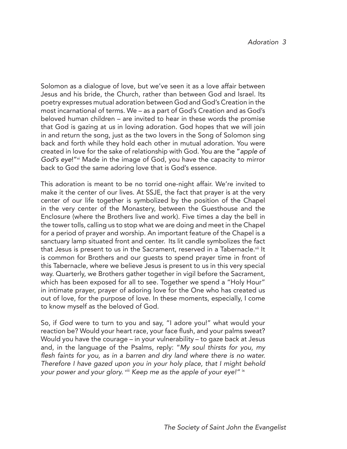Solomon as a dialogue of love, but we've seen it as a love affair between Jesus and his bride, the Church, rather than between God and Israel. Its poetry expresses mutual adoration between God and God's Creation in the most incarnational of terms. We – as a part of God's Creation and as God's beloved human children – are invited to hear in these words the promise that God is gazing at us in loving adoration. God hopes that we will join in and return the song, just as the two lovers in the Song of Solomon sing back and forth while they hold each other in mutual adoration. You were created in love for the sake of relationship with God. You are the "*apple of*  God's eye!"<sup>vi</sup> Made in the image of God, you have the capacity to mirror back to God the same adoring love that is God's essence.

This adoration is meant to be no torrid one-night affair. We're invited to make it the center of our lives. At SSJE, the fact that prayer is at the very center of our life together is symbolized by the position of the Chapel in the very center of the Monastery, between the Guesthouse and the Enclosure (where the Brothers live and work). Five times a day the bell in the tower tolls, calling us to stop what we are doing and meet in the Chapel for a period of prayer and worship. An important feature of the Chapel is a sanctuary lamp situated front and center. Its lit candle symbolizes the fact that Jesus is present to us in the Sacrament, reserved in a Tabernacle.<sup>vii</sup> It is common for Brothers and our guests to spend prayer time in front of this Tabernacle, where we believe Jesus is present to us in this very special way. Quarterly, we Brothers gather together in vigil before the Sacrament, which has been exposed for all to see. Together we spend a "Holy Hour" in intimate prayer, prayer of adoring love for the One who has created us out of love, for the purpose of love. In these moments, especially, I come to know myself as the beloved of God.

So, if *God* were to turn to you and say, "I adore you!" what would your reaction be? Would your heart race, your face flush, and your palms sweat? Would you have the courage – in your vulnerability – to gaze back at Jesus and, in the language of the Psalms, reply: "My soul thirsts for you, my flesh faints for you, as in a barren and dry land where there is no water. Therefore I have gazed upon you in your holy place, that I might behold *your power and your glory.* viii Keep me as the apple of your eye!" ix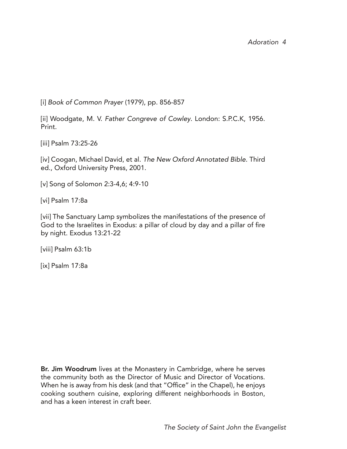[i] Book of Common Prayer (1979), pp. 856-857

[ii] Woodgate, M. V. Father Congreve of Cowley. London: S.P.C.K, 1956. Print.

[iii] Psalm 73:25-26

[iv] Coogan, Michael David, et al. The New Oxford Annotated Bible. Third ed., Oxford University Press, 2001.

[v] Song of Solomon 2:3-4,6; 4:9-10

[vi] Psalm 17:8a

[vii] The Sanctuary Lamp symbolizes the manifestations of the presence of God to the Israelites in Exodus: a pillar of cloud by day and a pillar of fire by night. Exodus 13:21-22

[viii] Psalm 63:1b

[ix] Psalm 17:8a

Br. Jim Woodrum lives at the Monastery in Cambridge, where he serves the community both as the Director of Music and Director of Vocations. When he is away from his desk (and that "Office" in the Chapel), he enjoys cooking southern cuisine, exploring different neighborhoods in Boston, and has a keen interest in craft beer.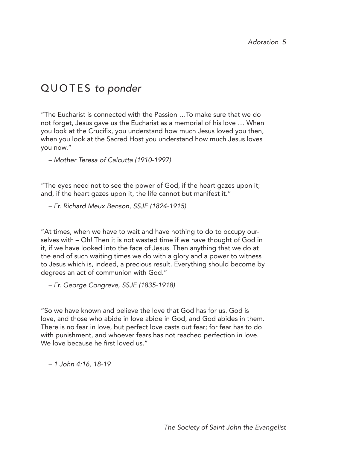## QUOTES *to ponder*

"The Eucharist is connected with the Passion …To make sure that we do not forget, Jesus gave us the Eucharist as a memorial of his love … When you look at the Crucifix, you understand how much Jesus loved you then, when you look at the Sacred Host you understand how much Jesus loves you now."

– Mother Teresa of Calcutta (1910-1997)

"The eyes need not to see the power of God, if the heart gazes upon it; and, if the heart gazes upon it, the life cannot but manifest it."

– Fr. Richard Meux Benson, SSJE (1824-1915)

"At times, when we have to wait and have nothing to do to occupy ourselves with – Oh! Then it is not wasted time if we have thought of God in it, if we have looked into the face of Jesus. Then anything that we do at the end of such waiting times we do with a glory and a power to witness to Jesus which is, indeed, a precious result. Everything should become by degrees an act of communion with God."

– Fr. George Congreve, SSJE (1835-1918)

"So we have known and believe the love that God has for us. God is love, and those who abide in love abide in God, and God abides in them. There is no fear in love, but perfect love casts out fear; for fear has to do with punishment, and whoever fears has not reached perfection in love. We love because he first loved us."

– 1 John 4:16, 18-19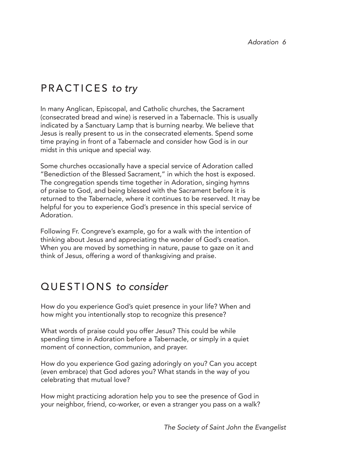# PRACTICES *to try*

In many Anglican, Episcopal, and Catholic churches, the Sacrament (consecrated bread and wine) is reserved in a Tabernacle. This is usually indicated by a Sanctuary Lamp that is burning nearby. We believe that Jesus is really present to us in the consecrated elements. Spend some time praying in front of a Tabernacle and consider how God is in our midst in this unique and special way.

Some churches occasionally have a special service of Adoration called "Benediction of the Blessed Sacrament," in which the host is exposed. The congregation spends time together in Adoration, singing hymns of praise to God, and being blessed with the Sacrament before it is returned to the Tabernacle, where it continues to be reserved. It may be helpful for you to experience God's presence in this special service of Adoration.

Following Fr. Congreve's example, go for a walk with the intention of thinking about Jesus and appreciating the wonder of God's creation. When you are moved by something in nature, pause to gaze on it and think of Jesus, offering a word of thanksgiving and praise.

### QUESTIONS *to consider*

How do you experience God's quiet presence in your life? When and how might you intentionally stop to recognize this presence?

What words of praise could you offer Jesus? This could be while spending time in Adoration before a Tabernacle, or simply in a quiet moment of connection, communion, and prayer.

How do you experience God gazing adoringly on you? Can you accept (even embrace) that God adores you? What stands in the way of you celebrating that mutual love?

How might practicing adoration help you to see the presence of God in your neighbor, friend, co-worker, or even a stranger you pass on a walk?